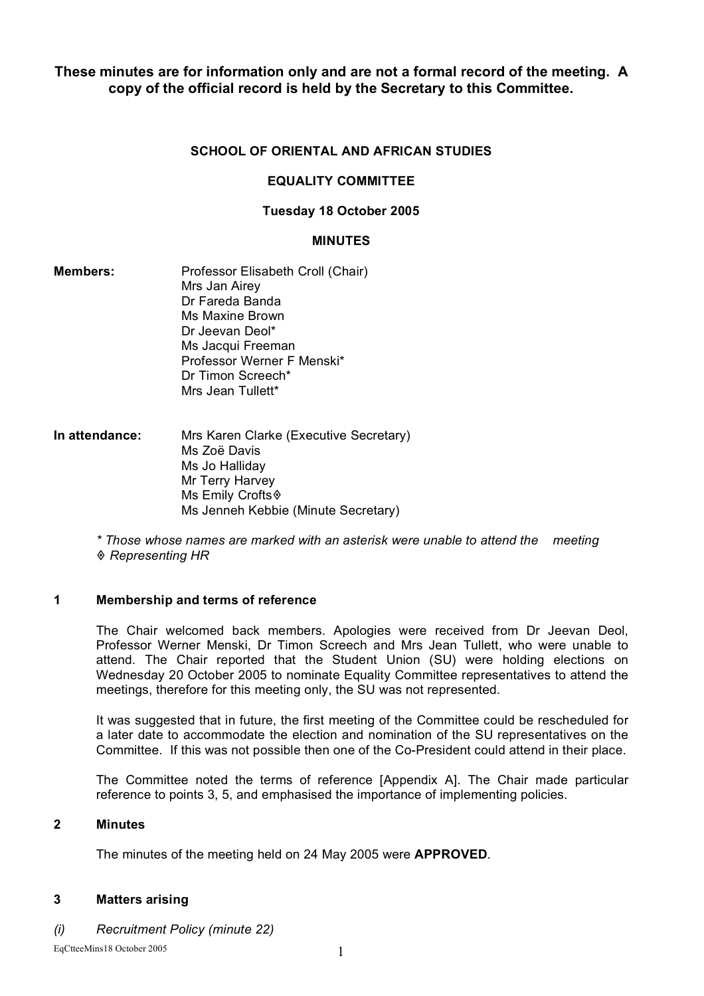**These minutes are for information only and are not a formal record of the meeting. A copy of the official record is held by the Secretary to this Committee.**

# **SCHOOL OF ORIENTAL AND AFRICAN STUDIES**

# **EQUALITY COMMITTEE**

### **Tuesday 18 October 2005**

#### **MINUTES**

- **Members:** Professor Elisabeth Croll (Chair) Mrs Jan Airey Dr Fareda Banda Ms Maxine Brown Dr Jeevan Deol\* Ms Jacqui Freeman Professor Werner F Menski\* Dr Timon Screech\* Mrs Jean Tullett\*
- **In attendance:** Mrs Karen Clarke (Executive Secretary) Ms Zoë Davis Ms Jo Halliday Mr Terry Harvey Ms Emily Crofts Ms Jenneh Kebbie (Minute Secretary)

*\* Those whose names are marked with an asterisk were unable to attend the meeting Representing HR*

# **1 Membership and terms of reference**

The Chair welcomed back members. Apologies were received from Dr Jeevan Deol, Professor Werner Menski, Dr Timon Screech and Mrs Jean Tullett, who were unable to attend. The Chair reported that the Student Union (SU) were holding elections on Wednesday 20 October 2005 to nominate Equality Committee representatives to attend the meetings, therefore for this meeting only, the SU was not represented.

It was suggested that in future, the first meeting of the Committee could be rescheduled for a later date to accommodate the election and nomination of the SU representatives on the Committee. If this was not possible then one of the Co-President could attend in their place.

The Committee noted the terms of reference [Appendix A]. The Chair made particular reference to points 3, 5, and emphasised the importance of implementing policies.

### **2 Minutes**

The minutes of the meeting held on 24 May 2005 were **APPROVED**.

# **3 Matters arising**

*(i) Recruitment Policy (minute 22)*

EqCtteeMins18 October 2005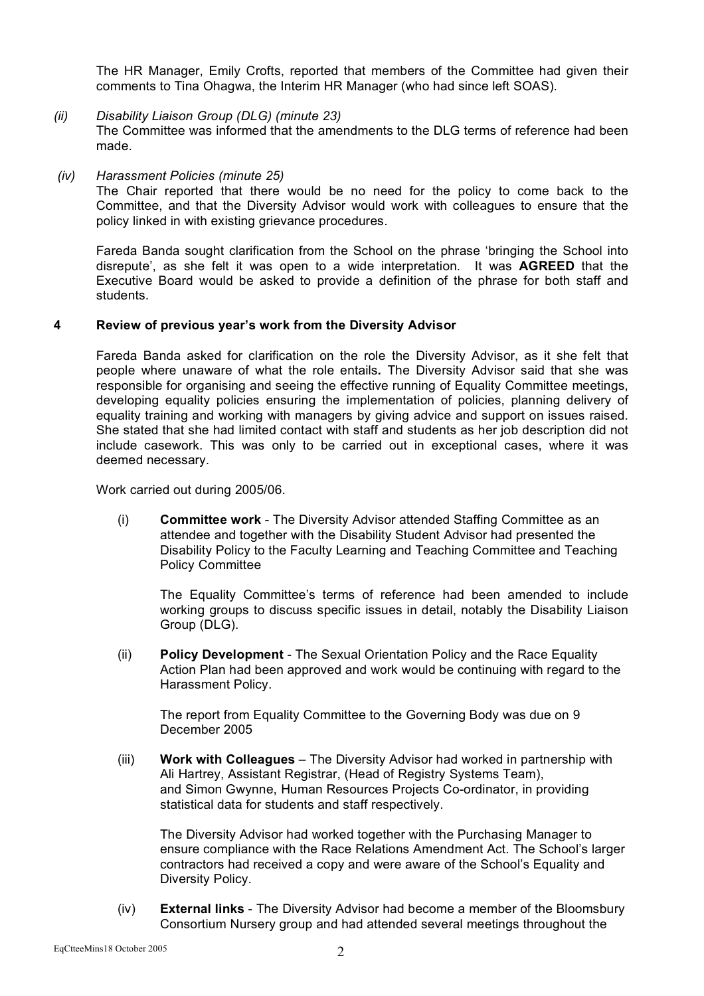The HR Manager, Emily Crofts, reported that members of the Committee had given their comments to Tina Ohagwa, the Interim HR Manager (who had since left SOAS).

- *(ii) Disability Liaison Group (DLG) (minute 23)* The Committee was informed that the amendments to the DLG terms of reference had been made.
- *(iv) Harassment Policies (minute 25)*

The Chair reported that there would be no need for the policy to come back to the Committee, and that the Diversity Advisor would work with colleagues to ensure that the policy linked in with existing grievance procedures.

Fareda Banda sought clarification from the School on the phrase 'bringing the School into disrepute', as she felt it was open to a wide interpretation. It was **AGREED** that the Executive Board would be asked to provide a definition of the phrase for both staff and students.

#### **4 Review of previous year's work from the Diversity Advisor**

Fareda Banda asked for clarification on the role the Diversity Advisor, as it she felt that people where unaware of what the role entails**.** The Diversity Advisor said that she was responsible for organising and seeing the effective running of Equality Committee meetings, developing equality policies ensuring the implementation of policies, planning delivery of equality training and working with managers by giving advice and support on issues raised. She stated that she had limited contact with staff and students as her job description did not include casework. This was only to be carried out in exceptional cases, where it was deemed necessary.

Work carried out during 2005/06.

(i) **Committee work** - The Diversity Advisor attended Staffing Committee as an attendee and together with the Disability Student Advisor had presented the Disability Policy to the Faculty Learning and Teaching Committee and Teaching Policy Committee

The Equality Committee's terms of reference had been amended to include working groups to discuss specific issues in detail, notably the Disability Liaison Group (DLG).

(ii) **Policy Development** - The Sexual Orientation Policy and the Race Equality Action Plan had been approved and work would be continuing with regard to the Harassment Policy.

The report from Equality Committee to the Governing Body was due on 9 December 2005

(iii) **Work with Colleagues** – The Diversity Advisor had worked in partnership with Ali Hartrey, Assistant Registrar, (Head of Registry Systems Team), and Simon Gwynne, Human Resources Projects Co-ordinator, in providing statistical data for students and staff respectively.

The Diversity Advisor had worked together with the Purchasing Manager to ensure compliance with the Race Relations Amendment Act. The School's larger contractors had received a copy and were aware of the School's Equality and Diversity Policy.

(iv) **External links** - The Diversity Advisor had become a member of the Bloomsbury Consortium Nursery group and had attended several meetings throughout the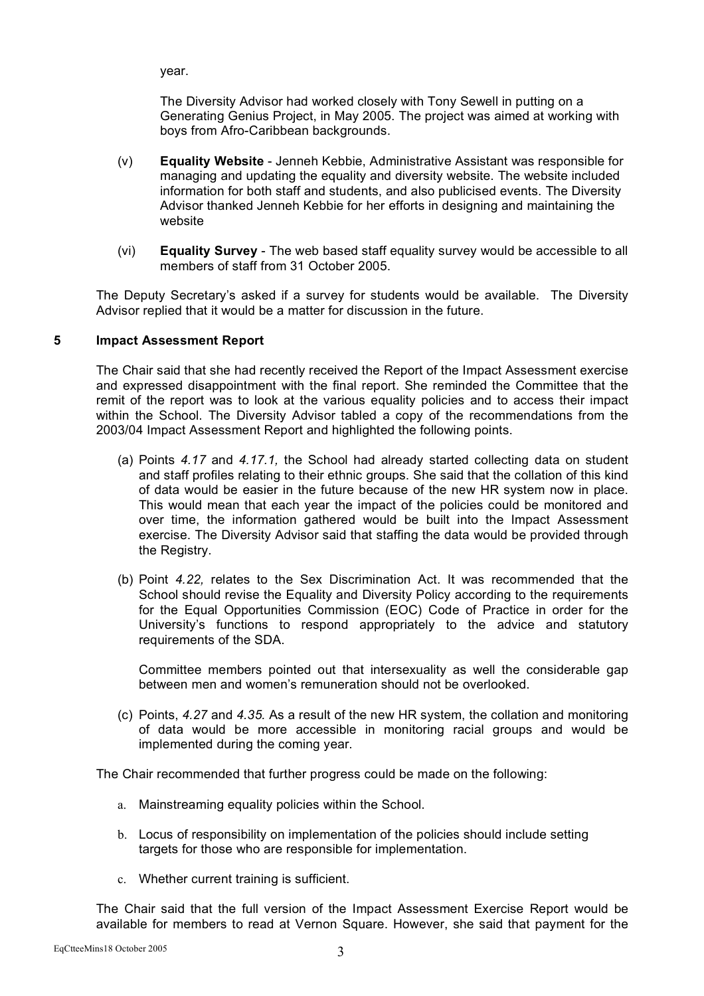year.

The Diversity Advisor had worked closely with Tony Sewell in putting on a Generating Genius Project, in May 2005. The project was aimed at working with boys from Afro-Caribbean backgrounds.

- (v) **Equality Website** Jenneh Kebbie, Administrative Assistant was responsible for managing and updating the equality and diversity website. The website included information for both staff and students, and also publicised events. The Diversity Advisor thanked Jenneh Kebbie for her efforts in designing and maintaining the website
- (vi) **Equality Survey** The web based staff equality survey would be accessible to all members of staff from 31 October 2005.

The Deputy Secretary's asked if a survey for students would be available. The Diversity Advisor replied that it would be a matter for discussion in the future.

#### **5 Impact Assessment Report**

The Chair said that she had recently received the Report of the Impact Assessment exercise and expressed disappointment with the final report. She reminded the Committee that the remit of the report was to look at the various equality policies and to access their impact within the School. The Diversity Advisor tabled a copy of the recommendations from the 2003/04 Impact Assessment Report and highlighted the following points.

- (a) Points *4.17* and *4.17.1,* the School had already started collecting data on student and staff profiles relating to their ethnic groups. She said that the collation of this kind of data would be easier in the future because of the new HR system now in place. This would mean that each year the impact of the policies could be monitored and over time, the information gathered would be built into the Impact Assessment exercise. The Diversity Advisor said that staffing the data would be provided through the Registry.
- (b) Point *4.22,* relates to the Sex Discrimination Act. It was recommended that the School should revise the Equality and Diversity Policy according to the requirements for the Equal Opportunities Commission (EOC) Code of Practice in order for the University's functions to respond appropriately to the advice and statutory requirements of the SDA.

Committee members pointed out that intersexuality as well the considerable gap between men and women's remuneration should not be overlooked.

(c) Points, *4.27* and *4.35.* As a result of the new HR system, the collation and monitoring of data would be more accessible in monitoring racial groups and would be implemented during the coming year.

The Chair recommended that further progress could be made on the following:

- a. Mainstreaming equality policies within the School.
- b. Locus of responsibility on implementation of the policies should include setting targets for those who are responsible for implementation.
- c. Whether current training is sufficient.

The Chair said that the full version of the Impact Assessment Exercise Report would be available for members to read at Vernon Square. However, she said that payment for the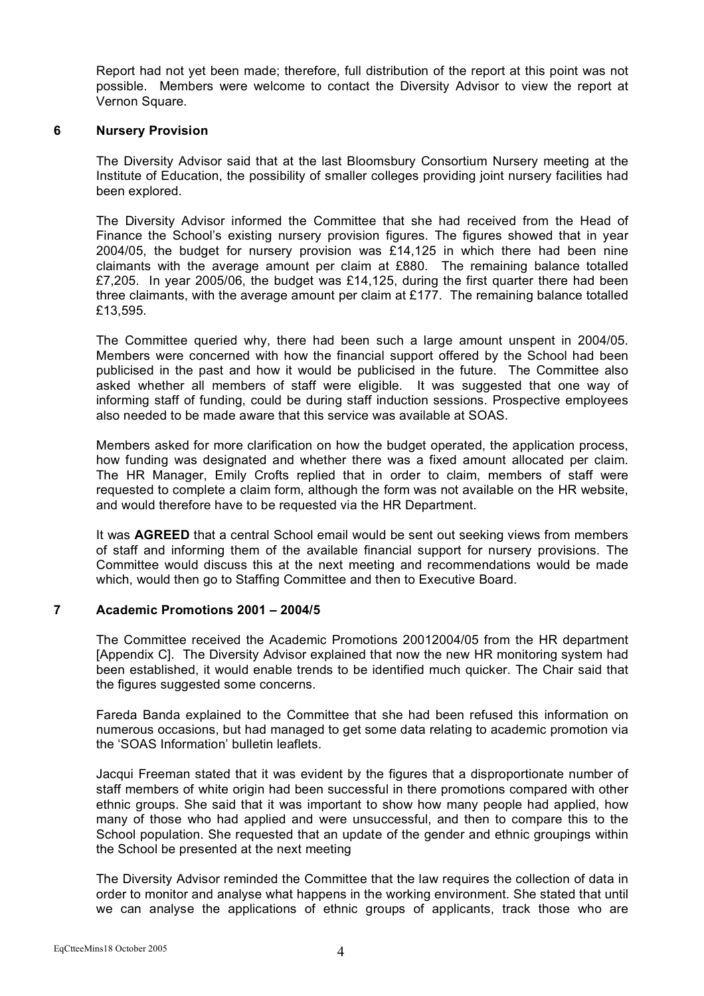Report had not yet been made; therefore, full distribution of the report at this point was not possible. Members were welcome to contact the Diversity Advisor to view the report at Vernon Square.

#### **6 Nursery Provision**

The Diversity Advisor said that at the last Bloomsbury Consortium Nursery meeting at the Institute of Education, the possibility of smaller colleges providing joint nursery facilities had been explored.

The Diversity Advisor informed the Committee that she had received from the Head of Finance the School's existing nursery provision figures. The figures showed that in year 2004/05, the budget for nursery provision was £14,125 in which there had been nine claimants with the average amount per claim at £880. The remaining balance totalled £7,205. In year 2005/06, the budget was £14,125, during the first quarter there had been three claimants, with the average amount per claim at  $£177$ . The remaining balance totalled £13,595.

The Committee queried why, there had been such a large amount unspent in 2004/05. Members were concerned with how the financial support offered by the School had been publicised in the past and how it would be publicised in the future. The Committee also asked whether all members of staff were eligible. It was suggested that one way of informing staff of funding, could be during staff induction sessions. Prospective employees also needed to be made aware that this service was available at SOAS.

Members asked for more clarification on how the budget operated, the application process, how funding was designated and whether there was a fixed amount allocated per claim. The HR Manager, Emily Crofts replied that in order to claim, members of staff were requested to complete a claim form, although the form was not available on the HR website, and would therefore have to be requested via the HR Department.

It was **AGREED** that a central School email would be sent out seeking views from members of staff and informing them of the available financial support for nursery provisions. The Committee would discuss this at the next meeting and recommendations would be made which, would then go to Staffing Committee and then to Executive Board.

# **7 Academic Promotions 2001 – 2004/5**

The Committee received the Academic Promotions 20012004/05 from the HR department [Appendix C]. The Diversity Advisor explained that now the new HR monitoring system had been established, it would enable trends to be identified much quicker. The Chair said that the figures suggested some concerns.

Fareda Banda explained to the Committee that she had been refused this information on numerous occasions, but had managed to get some data relating to academic promotion via the 'SOAS Information' bulletin leaflets.

Jacqui Freeman stated that it was evident by the figures that a disproportionate number of staff members of white origin had been successful in there promotions compared with other ethnic groups. She said that it was important to show how many people had applied, how many of those who had applied and were unsuccessful, and then to compare this to the School population. She requested that an update of the gender and ethnic groupings within the School be presented at the next meeting

The Diversity Advisor reminded the Committee that the law requires the collection of data in order to monitor and analyse what happens in the working environment. She stated that until we can analyse the applications of ethnic groups of applicants, track those who are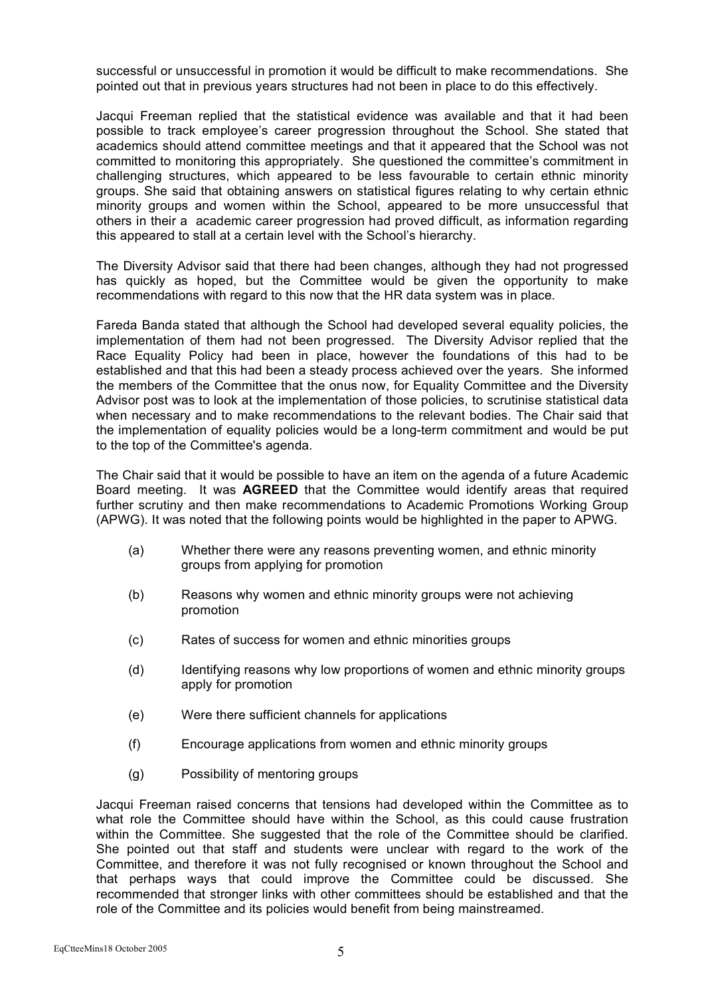successful or unsuccessful in promotion it would be difficult to make recommendations. She pointed out that in previous years structures had not been in place to do this effectively.

Jacqui Freeman replied that the statistical evidence was available and that it had been possible to track employee's career progression throughout the School. She stated that academics should attend committee meetings and that it appeared that the School was not committed to monitoring this appropriately. She questioned the committee's commitment in challenging structures, which appeared to be less favourable to certain ethnic minority groups. She said that obtaining answers on statistical figures relating to why certain ethnic minority groups and women within the School, appeared to be more unsuccessful that others in their a academic career progression had proved difficult, as information regarding this appeared to stall at a certain level with the School's hierarchy.

The Diversity Advisor said that there had been changes, although they had not progressed has quickly as hoped, but the Committee would be given the opportunity to make recommendations with regard to this now that the HR data system was in place.

Fareda Banda stated that although the School had developed several equality policies, the implementation of them had not been progressed. The Diversity Advisor replied that the Race Equality Policy had been in place, however the foundations of this had to be established and that this had been a steady process achieved over the years. She informed the members of the Committee that the onus now, for Equality Committee and the Diversity Advisor post was to look at the implementation of those policies, to scrutinise statistical data when necessary and to make recommendations to the relevant bodies. The Chair said that the implementation of equality policies would be a long-term commitment and would be put to the top of the Committee's agenda.

The Chair said that it would be possible to have an item on the agenda of a future Academic Board meeting. It was **AGREED** that the Committee would identify areas that required further scrutiny and then make recommendations to Academic Promotions Working Group (APWG). It was noted that the following points would be highlighted in the paper to APWG.

- (a) Whether there were any reasons preventing women, and ethnic minority groups from applying for promotion
- (b) Reasons why women and ethnic minority groups were not achieving promotion
- (c) Rates of success for women and ethnic minorities groups
- (d) Identifying reasons why low proportions of women and ethnic minority groups apply for promotion
- (e) Were there sufficient channels for applications
- (f) Encourage applications from women and ethnic minority groups
- (g) Possibility of mentoring groups

Jacqui Freeman raised concerns that tensions had developed within the Committee as to what role the Committee should have within the School, as this could cause frustration within the Committee. She suggested that the role of the Committee should be clarified. She pointed out that staff and students were unclear with regard to the work of the Committee, and therefore it was not fully recognised or known throughout the School and that perhaps ways that could improve the Committee could be discussed. She recommended that stronger links with other committees should be established and that the role of the Committee and its policies would benefit from being mainstreamed.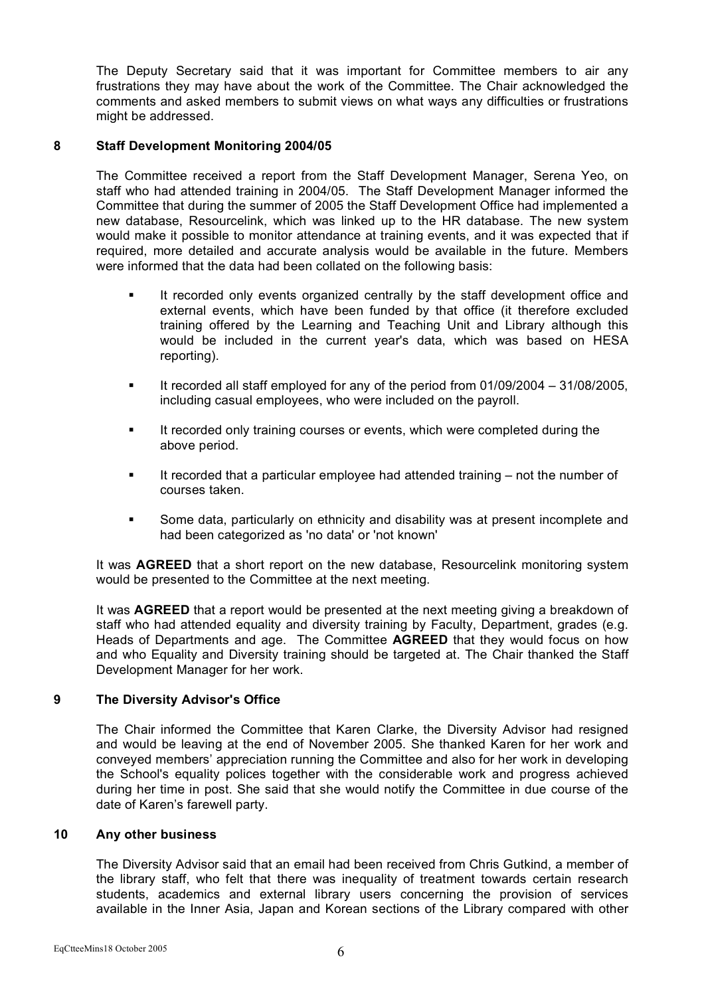The Deputy Secretary said that it was important for Committee members to air any frustrations they may have about the work of the Committee. The Chair acknowledged the comments and asked members to submit views on what ways any difficulties or frustrations might be addressed.

# **8 Staff Development Monitoring 2004/05**

The Committee received a report from the Staff Development Manager, Serena Yeo, on staff who had attended training in 2004/05. The Staff Development Manager informed the Committee that during the summer of 2005 the Staff Development Office had implemented a new database, Resourcelink, which was linked up to the HR database. The new system would make it possible to monitor attendance at training events, and it was expected that if required, more detailed and accurate analysis would be available in the future. Members were informed that the data had been collated on the following basis:

- **If recorded only events organized centrally by the staff development office and** external events, which have been funded by that office (it therefore excluded training offered by the Learning and Teaching Unit and Library although this would be included in the current year's data, which was based on HESA reporting).
- It recorded all staff employed for any of the period from  $01/09/2004 31/08/2005$ . including casual employees, who were included on the payroll.
- **It recorded only training courses or events, which were completed during the** above period.
- It recorded that a particular employee had attended training not the number of courses taken.
- Some data, particularly on ethnicity and disability was at present incomplete and had been categorized as 'no data' or 'not known'

It was **AGREED** that a short report on the new database, Resourcelink monitoring system would be presented to the Committee at the next meeting.

It was **AGREED** that a report would be presented at the next meeting giving a breakdown of staff who had attended equality and diversity training by Faculty, Department, grades (e.g. Heads of Departments and age. The Committee **AGREED** that they would focus on how and who Equality and Diversity training should be targeted at. The Chair thanked the Staff Development Manager for her work.

# **9 The Diversity Advisor's Office**

The Chair informed the Committee that Karen Clarke, the Diversity Advisor had resigned and would be leaving at the end of November 2005. She thanked Karen for her work and conveyed members' appreciation running the Committee and also for her work in developing the School's equality polices together with the considerable work and progress achieved during her time in post. She said that she would notify the Committee in due course of the date of Karen's farewell party.

#### **10 Any other business**

The Diversity Advisor said that an email had been received from Chris Gutkind, a member of the library staff, who felt that there was inequality of treatment towards certain research students, academics and external library users concerning the provision of services available in the Inner Asia, Japan and Korean sections of the Library compared with other